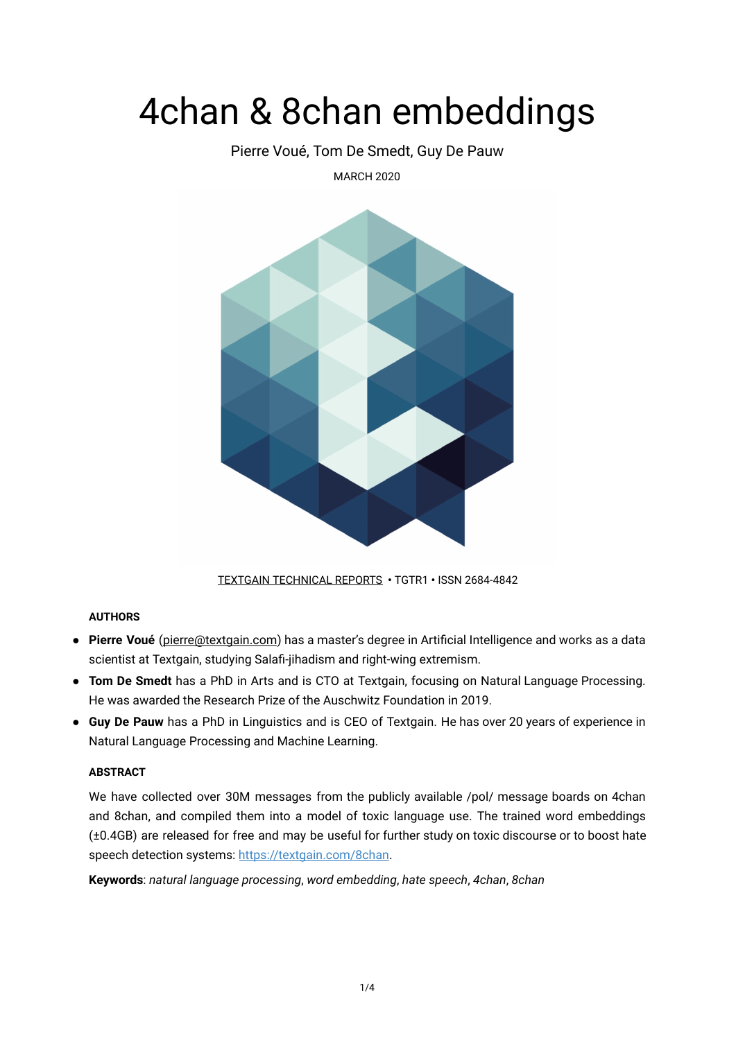# 4chan & 8chan embeddings

Pierre Voué, Tom De Smedt, Guy De Pauw

MARCH 2020



[TEXTGAIN TECHNICAL REPORTS](https://textgain.com/resources) **•** TGTR1 **•** ISSN 2684-4842

## **AUTHORS**

- **Pierre Voué** [\( pierre@textgain.com](mailto:pierre@textgain.com)) has a master's degree in Artificial Intelligence and works as a data scientist at Textgain, studying Salafi-jihadism and right-wing extremism.
- **Tom De Smedt** has a PhD in Arts and is CTO at Textgain, focusing on Natural Language Processing. He was awarded the Research Prize of the Auschwitz Foundation in 2019.
- **Guy De Pauw** has a PhD in Linguistics and is CEO of Textgain. He has over 20 years of experience in Natural Language Processing and Machine Learning.

### **ABSTRACT**

We have collected over 30M messages from the publicly available /pol/ message boards on 4chan and 8chan, and compiled them into a model of toxic language use. The trained word embeddings (±0.4GB) are released for free and may be useful for further study on toxic discourse or to boost hate speech detection systems: <https://textgain.com/8chan>.

**Keywords**: *natural language processing* , *word embedding* , *hate speech*, *4chan*, *8chan*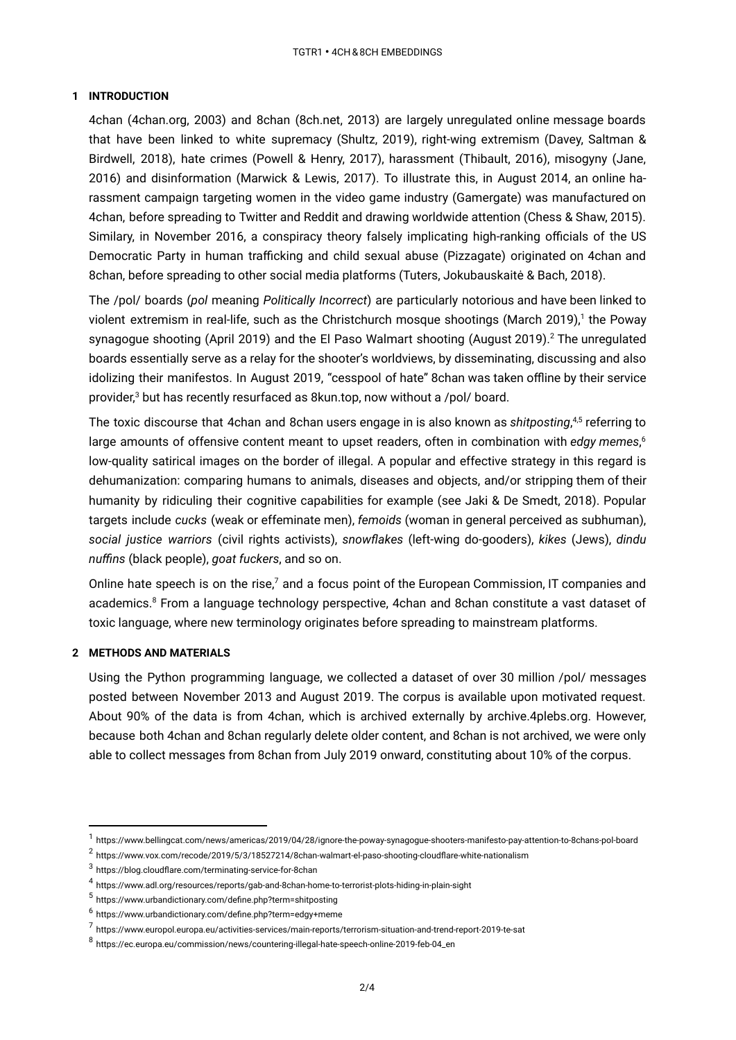#### **1 INTRODUCTION**

4chan (4chan.org, 2003) and 8chan (8ch.net, 2013) are largely unregulated online message boards that have been linked to white supremacy (Shultz, 2019), right-wing extremism (Davey, Saltman & Birdwell, 2018), hate crimes (Powell & Henry, 2017), harassment (Thibault, 2016), misogyny (Jane, 2016) and disinformation (Marwick & Lewis, 2017). To illustrate this, in August 2014, an online harassment campaign targeting women in the video game industry (Gamergate) was manufactured on 4chan, before spreading to Twitter and Reddit and drawing worldwide attention (Chess & Shaw, 2015). Similary, in November 2016, a conspiracy theory falsely implicating high-ranking officials of the US Democratic Party in human trafficking and child sexual abuse (Pizzagate) originated on 4chan and 8chan, before spreading to other social media platforms (Tuters, Jokubauskaitė & Bach, 2018).

The /pol/ boards ( *pol* meaning *Politically Incorrect* ) are particularly notorious and have been linked to violent extremism in real-life, such as the Christchurch mosque shootings (March 2019),<sup>1</sup> the Poway synagogue shooting (April 2019) and the El Paso Walmart shooting (August 2019).<sup>2</sup> The unregulated boards essentially serve as a relay for the shooter's worldviews, by disseminating, discussing and also idolizing their manifestos. In August 2019, "cesspool of hate" 8chan was taken offline by their service provider, $^3$  but has recently resurfaced as 8kun.top, now without a /pol/ board.

The toxic discourse that 4chan and 8chan users engage in is also known as *shitposting,<sup>4,5</sup> referring to* large amounts of offensive content meant to upset readers, often in combination with *edgy memes*, 6 low-quality satirical images on the border of illegal. A popular and effective strategy in this regard is dehumanization: comparing humans to animals, diseases and objects, and/or stripping them of their humanity by ridiculing their cognitive capabilities for example (see Jaki & De Smedt, 2018). Popular targets include *cucks* (weak or effeminate men), *femoids* (woman in general perceived as subhuman), *social justice warriors* (civil rights activists), *snowflakes* (left-wing do-gooders), *kikes* (Jews), *dindu nuffins* (black people), *goat fuckers*, and so on.

Online hate speech is on the rise, $7$  and a focus point of the European Commission, IT companies and academics. ${}^{8}$  From a language technology perspective, 4chan and 8chan constitute a vast dataset of toxic language, where new terminology originates before spreading to mainstream platforms.

### **2 METHODS AND MATERIALS**

Using the Python programming language, we collected a dataset of over 30 million /pol/ messages posted between November 2013 and August 2019. The corpus is available upon motivated request. About 90% of the data is from 4chan, which is archived externally by archive.4plebs.org. However, because both 4chan and 8chan regularly delete older content, and 8chan is not archived, we were only able to collect messages from 8chan from July 2019 onward, constituting about 10% of the corpus.

 $^{\text{1}}$  <https://www.bellingcat.com/news/americas/2019/04/28/ignore-the-poway-synagogue-shooters-manifesto-pay-attention-to-8chans-pol-board>

<sup>2</sup> <https://www.vox.com/recode/2019/5/3/18527214/8chan-walmart-el-paso-shooting-cloudflare-white-nationalism>

 $3$  <https://blog.cloudflare.com/terminating-service-for-8chan>

<sup>4</sup> <https://www.adl.org/resources/reports/gab-and-8chan-home-to-terrorist-plots-hiding-in-plain-sight>

<sup>5</sup> <https://www.urbandictionary.com/define.php?term=shitposting>

 $^6$ <https://www.urbandictionary.com/define.php?term=edgy+meme>

<sup>7</sup> <https://www.europol.europa.eu/activities-services/main-reports/terrorism-situation-and-trend-report-2019-te-sat>

<sup>8</sup> [https://ec.europa.eu/commission/news/countering-illegal-hate-speech-online-2019-feb-04\\_en](https://ec.europa.eu/commission/news/countering-illegal-hate-speech-online-2019-feb-04_en)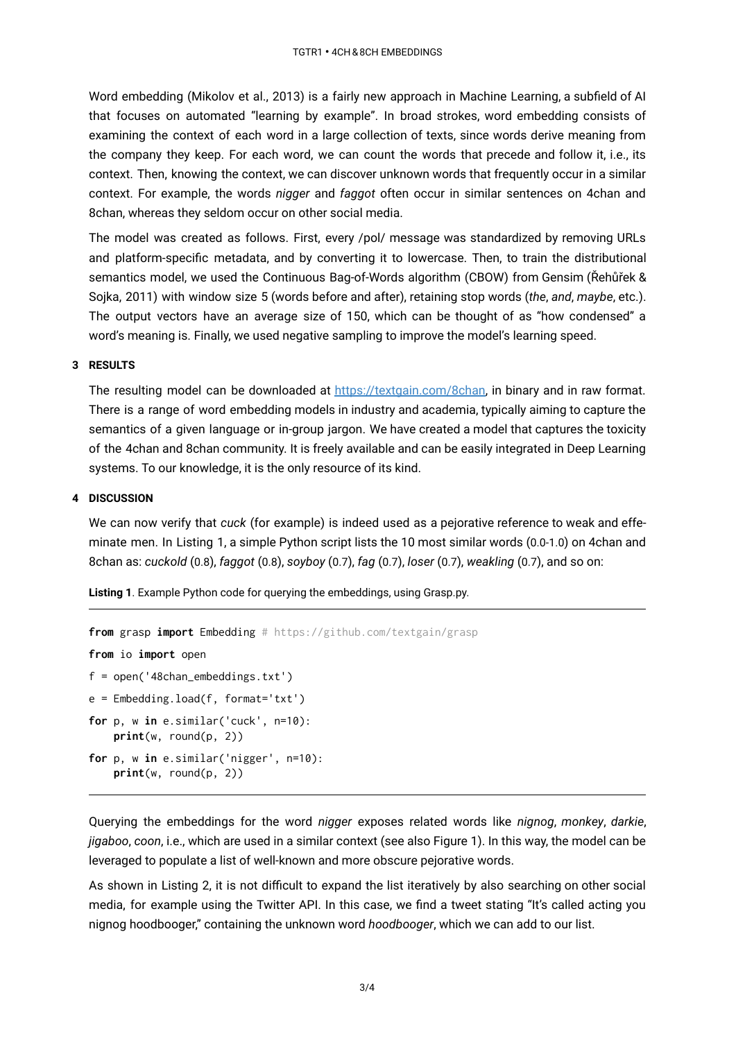Word embedding (Mikolov et al., 2013) is a fairly new approach in Machine Learning, a subfield of AI that focuses on automated "learning by example". In broad strokes, word embedding consists of examining the context of each word in a large collection of texts, since words derive meaning from the company they keep. For each word, we can count the words that precede and follow it, i.e., its context. Then, knowing the context, we can discover unknown words that frequently occur in a similar context. For example, the words *nigger* and *faggot* often occur in similar sentences on 4chan and 8chan, whereas they seldom occur on other social media.

The model was created as follows. First, every /pol/ message was standardized by removing URLs and platform-specific metadata, and by converting it to lowercase. Then, to train the distributional semantics model, we used the Continuous Bag-of-Words algorithm (CBOW) from Gensim (Řehůřek & Sojka, 2011) with window size 5 (words before and after), retaining stop words ( *the*, *and*, *maybe*, etc.). The output vectors have an average size of 150, which can be thought of as "how condensed" a word's meaning is. Finally, we used negative sampling to improve the model's learning speed.

#### **3 RESULTS**

The resulting model can be downloaded at <https://textgain.com/8chan>, in binary and in raw format. There is a range of word embedding models in industry and academia, typically aiming to capture the semantics of a given language or in-group jargon. We have created a model that captures the toxicity of the 4chan and 8chan community. It is freely available and can be easily integrated in Deep Learning systems. To our knowledge, it is the only resource of its kind.

#### **4 DISCUSSION**

We can now verify that *cuck* (for example) is indeed used as a pejorative reference to weak and effeminate men. In Listing 1, a simple Python script lists the 10 most similar words (0.0-1.0) on 4chan and 8chan as: *cuckold* ( 0.8 ), *faggot* ( 0.8 ), *soyboy* ( 0.7 ), *fag* ( 0.7 ), *loser* ( 0.7 ), *weakling* ( 0.7 ), and so on:

**Listing 1** . Example Python code for querying the embeddings, using Grasp.py.

```
from grasp import Embedding # https://github.com/textgain/grasp
from io import open
f = open('48chan_embeddings.txt')
e = Embedding.load(f, format='txt')
for p, w in e.similar('cuck', n=10):
   print(w, round(p, 2))
for p, w in e.similar('nigger', n=10):
    print(w, round(p, 2))
```
Querying the embeddings for the word *nigger* exposes related words like *nignog* , *monkey* , *darkie*, *jigaboo*, *coon*, i.e., which are used in a similar context (see also Figure 1). In this way, the model can be leveraged to populate a list of well-known and more obscure pejorative words.

As shown in Listing 2, it is not difficult to expand the list iteratively by also searching on other social media, for example using the Twitter API. In this case, we find a tweet stating "It's called acting you nignog hoodbooger," containing the unknown word *hoodbooger*, which we can add to our list.